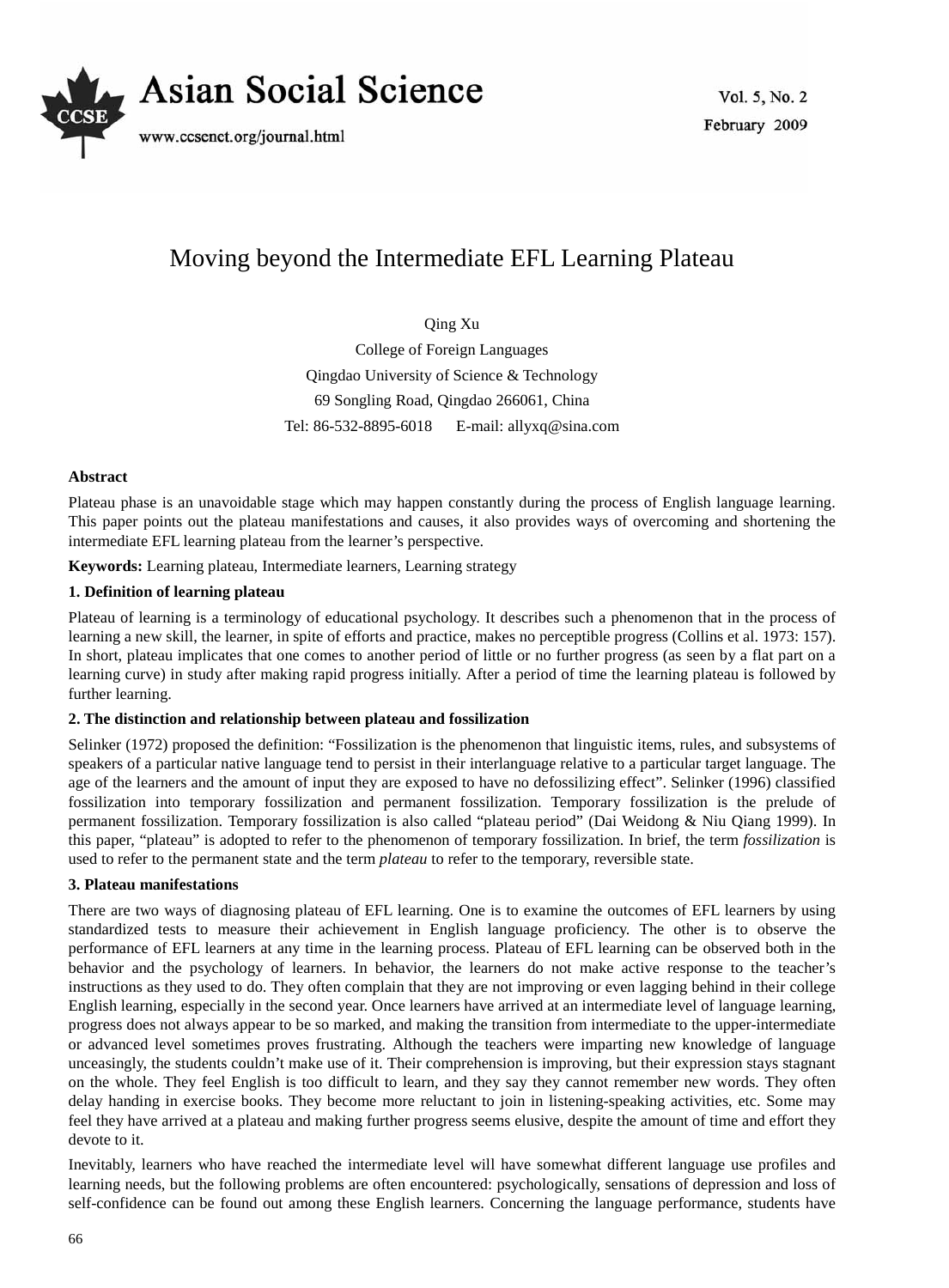

# Moving beyond the Intermediate EFL Learning Plateau

Qing Xu College of Foreign Languages Qingdao University of Science & Technology 69 Songling Road, Qingdao 266061, China Tel: 86-532-8895-6018 E-mail: allyxq@sina.com

## **Abstract**

Plateau phase is an unavoidable stage which may happen constantly during the process of English language learning. This paper points out the plateau manifestations and causes, it also provides ways of overcoming and shortening the intermediate EFL learning plateau from the learner's perspective.

**Keywords:** Learning plateau, Intermediate learners, Learning strategy

## **1. Definition of learning plateau**

Plateau of learning is a terminology of educational psychology. It describes such a phenomenon that in the process of learning a new skill, the learner, in spite of efforts and practice, makes no perceptible progress (Collins et al. 1973: 157). In short, plateau implicates that one comes to another period of little or no further progress (as seen by a flat part on a learning curve) in study after making rapid progress initially. After a period of time the learning plateau is followed by further learning.

# **2. The distinction and relationship between plateau and fossilization**

Selinker (1972) proposed the definition: "Fossilization is the phenomenon that linguistic items, rules, and subsystems of speakers of a particular native language tend to persist in their interlanguage relative to a particular target language. The age of the learners and the amount of input they are exposed to have no defossilizing effect". Selinker (1996) classified fossilization into temporary fossilization and permanent fossilization. Temporary fossilization is the prelude of permanent fossilization. Temporary fossilization is also called "plateau period" (Dai Weidong & Niu Qiang 1999). In this paper, "plateau" is adopted to refer to the phenomenon of temporary fossilization. In brief, the term *fossilization* is used to refer to the permanent state and the term *plateau* to refer to the temporary, reversible state.

# **3. Plateau manifestations**

There are two ways of diagnosing plateau of EFL learning. One is to examine the outcomes of EFL learners by using standardized tests to measure their achievement in English language proficiency. The other is to observe the performance of EFL learners at any time in the learning process. Plateau of EFL learning can be observed both in the behavior and the psychology of learners. In behavior, the learners do not make active response to the teacher's instructions as they used to do. They often complain that they are not improving or even lagging behind in their college English learning, especially in the second year. Once learners have arrived at an intermediate level of language learning, progress does not always appear to be so marked, and making the transition from intermediate to the upper-intermediate or advanced level sometimes proves frustrating. Although the teachers were imparting new knowledge of language unceasingly, the students couldn't make use of it. Their comprehension is improving, but their expression stays stagnant on the whole. They feel English is too difficult to learn, and they say they cannot remember new words. They often delay handing in exercise books. They become more reluctant to join in listening-speaking activities, etc. Some may feel they have arrived at a plateau and making further progress seems elusive, despite the amount of time and effort they devote to it.

Inevitably, learners who have reached the intermediate level will have somewhat different language use profiles and learning needs, but the following problems are often encountered: psychologically, sensations of depression and loss of self-confidence can be found out among these English learners. Concerning the language performance, students have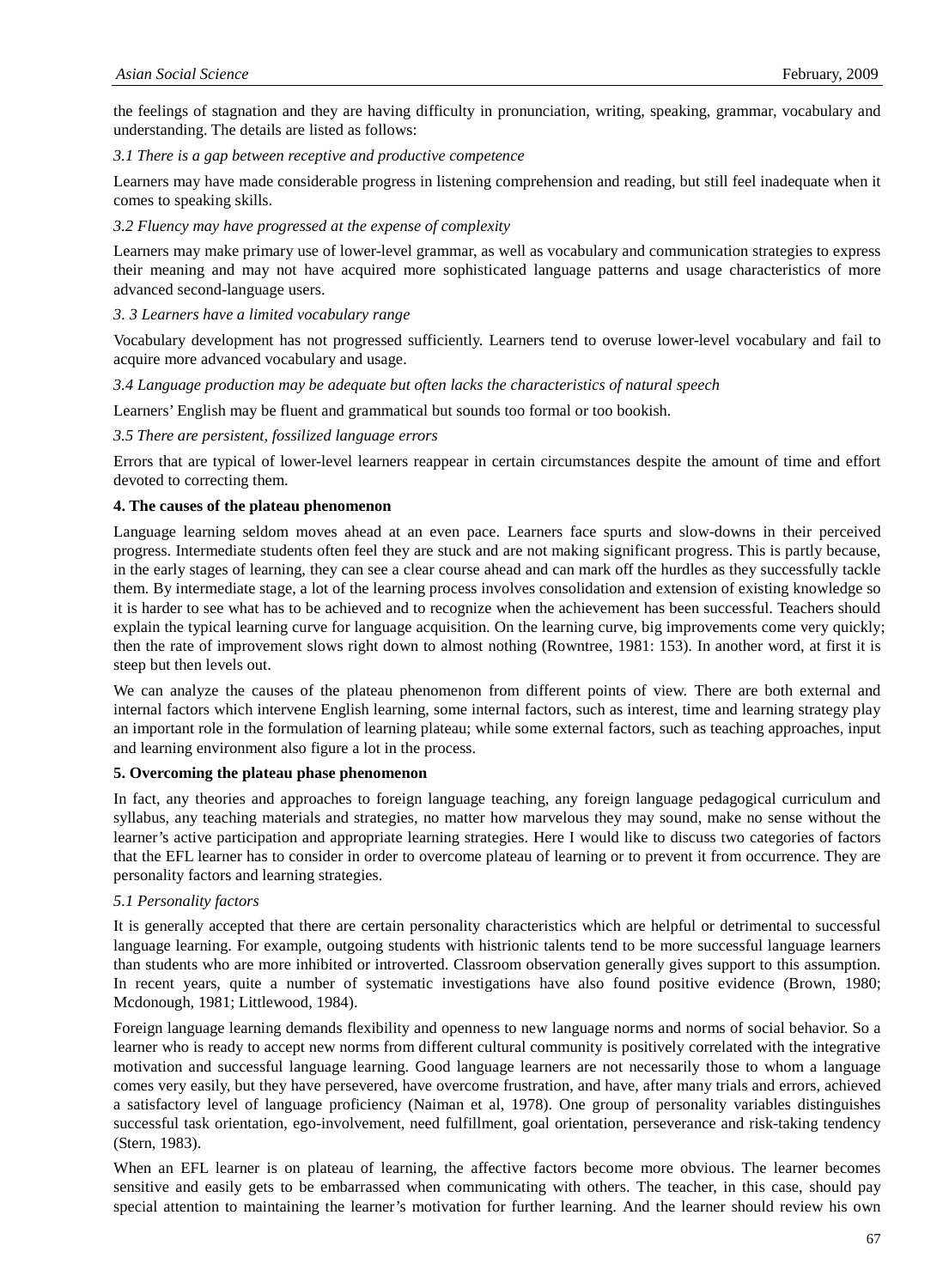the feelings of stagnation and they are having difficulty in pronunciation, writing, speaking, grammar, vocabulary and understanding. The details are listed as follows:

*3.1 There is a gap between receptive and productive competence* 

Learners may have made considerable progress in listening comprehension and reading, but still feel inadequate when it comes to speaking skills.

*3.2 Fluency may have progressed at the expense of complexity* 

Learners may make primary use of lower-level grammar, as well as vocabulary and communication strategies to express their meaning and may not have acquired more sophisticated language patterns and usage characteristics of more advanced second-language users.

#### *3. 3 Learners have a limited vocabulary range*

Vocabulary development has not progressed sufficiently. Learners tend to overuse lower-level vocabulary and fail to acquire more advanced vocabulary and usage.

#### *3.4 Language production may be adequate but often lacks the characteristics of natural speech*

Learners' English may be fluent and grammatical but sounds too formal or too bookish.

#### *3.5 There are persistent, fossilized language errors*

Errors that are typical of lower-level learners reappear in certain circumstances despite the amount of time and effort devoted to correcting them.

#### **4. The causes of the plateau phenomenon**

Language learning seldom moves ahead at an even pace. Learners face spurts and slow-downs in their perceived progress. Intermediate students often feel they are stuck and are not making significant progress. This is partly because, in the early stages of learning, they can see a clear course ahead and can mark off the hurdles as they successfully tackle them. By intermediate stage, a lot of the learning process involves consolidation and extension of existing knowledge so it is harder to see what has to be achieved and to recognize when the achievement has been successful. Teachers should explain the typical learning curve for language acquisition. On the learning curve, big improvements come very quickly; then the rate of improvement slows right down to almost nothing (Rowntree, 1981: 153). In another word, at first it is steep but then levels out.

We can analyze the causes of the plateau phenomenon from different points of view. There are both external and internal factors which intervene English learning, some internal factors, such as interest, time and learning strategy play an important role in the formulation of learning plateau; while some external factors, such as teaching approaches, input and learning environment also figure a lot in the process.

## **5. Overcoming the plateau phase phenomenon**

In fact, any theories and approaches to foreign language teaching, any foreign language pedagogical curriculum and syllabus, any teaching materials and strategies, no matter how marvelous they may sound, make no sense without the learner's active participation and appropriate learning strategies. Here I would like to discuss two categories of factors that the EFL learner has to consider in order to overcome plateau of learning or to prevent it from occurrence. They are personality factors and learning strategies.

## *5.1 Personality factors*

It is generally accepted that there are certain personality characteristics which are helpful or detrimental to successful language learning. For example, outgoing students with histrionic talents tend to be more successful language learners than students who are more inhibited or introverted. Classroom observation generally gives support to this assumption. In recent years, quite a number of systematic investigations have also found positive evidence (Brown, 1980; Mcdonough, 1981; Littlewood, 1984).

Foreign language learning demands flexibility and openness to new language norms and norms of social behavior. So a learner who is ready to accept new norms from different cultural community is positively correlated with the integrative motivation and successful language learning. Good language learners are not necessarily those to whom a language comes very easily, but they have persevered, have overcome frustration, and have, after many trials and errors, achieved a satisfactory level of language proficiency (Naiman et al, 1978). One group of personality variables distinguishes successful task orientation, ego-involvement, need fulfillment, goal orientation, perseverance and risk-taking tendency (Stern, 1983).

When an EFL learner is on plateau of learning, the affective factors become more obvious. The learner becomes sensitive and easily gets to be embarrassed when communicating with others. The teacher, in this case, should pay special attention to maintaining the learner's motivation for further learning. And the learner should review his own